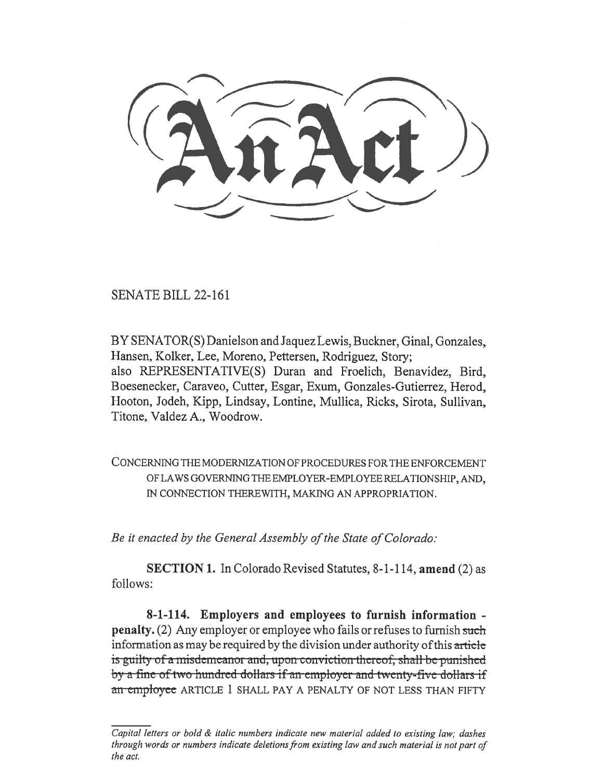SENATE BILL 22-161

BY SENATOR(S) Danielson and Jaquez Lewis, Buckner, Ginal, Gonzales, Hansen, Kolker, Lee, Moreno, Pettersen, Rodriguez, Story; also REPRESENTATIVE(S) Duran and Froelich, Benavidez, Bird, Boesenecker, Caraveo, Cutter, Esgar, Exum, Gonzales-Gutierrez, Herod, Hooton, Jodeh, Kipp, Lindsay, Lontine, Mullica, Ricks, Sirota, Sullivan, Titone, Valdez A., Woodrow.

CONCERNING THE MODERNIZATION OF PROCEDURES FOR THE ENFORCEMENT OF LAWS GOVERNING THE EMPLOYER-EMPLOYEE RELATIONSHIP, AND, IN CONNECTION THEREWITH, MAKING AN APPROPRIATION.

Be it enacted by the General Assembly of the State of Colorado:

SECTION 1. In Colorado Revised Statutes, 8-1-114, amend (2) as follows:

8-1-114. Employers and employees to furnish information penalty. (2) Any employer or employee who fails or refuses to furnish such information as may be required by the division under authority of this article is guilty of a misdemeanor and, upon conviction thereof, shall be punished<br>by a-fine-of-two-hundred-dollars-if-an-employer-and-twenty-five-dollars-if an employee ARTICLE 1 SHALL PAY A PENALTY OF NOT LESS THAN FIFTY

Capital letters or bold & italic numbers indicate new material added to existing law; dashes through words or numbers indicate deletions from existing law and such material is not part of the act.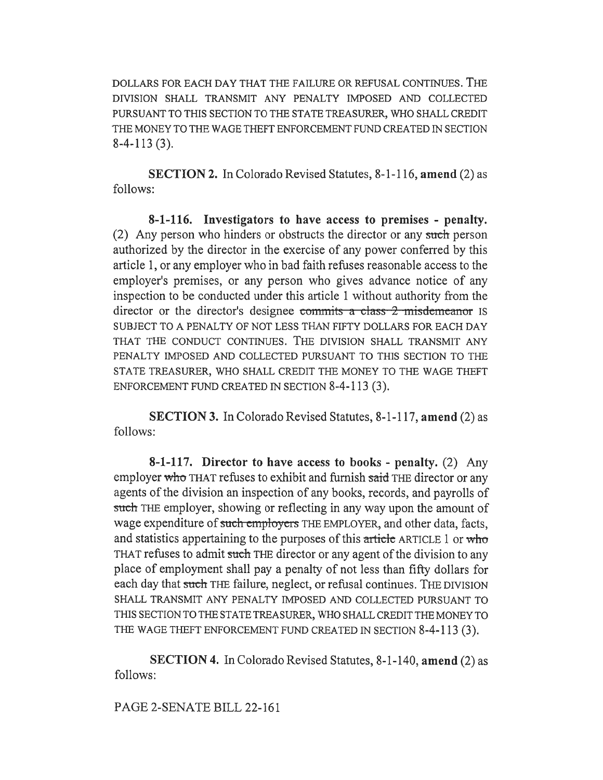DOLLARS FOR EACH DAY THAT THE FAILURE OR REFUSAL CONTINUES. THE DIVISION SHALL TRANSMIT ANY PENALTY IMPOSED AND COLLECTED PURSUANT TO THIS SECTION TO THE STATE TREASURER, WHO SHALL CREDIT THE MONEY TO THE WAGE THEFT ENFORCEMENT FUND CREATED IN SECTION 8-4-113 (3).

SECTION 2. In Colorado Revised Statutes, 8-1-116, amend (2) as follows:

8-1-116. Investigators to have access to premises - penalty. (2) Any person who hinders or obstructs the director or any such person authorized by the director in the exercise of any power conferred by this article 1, or any employer who in bad faith refuses reasonable access to the employer's premises, or any person who gives advance notice of any inspection to be conducted under this article 1 without authority from the director or the director's designee commits a class 2 misdemeanor IS SUBJECT TO A PENALTY OF NOT LESS THAN FIFTY DOLLARS FOR EACH DAY THAT THE CONDUCT CONTINUES. THE DIVISION SHALL TRANSMIT ANY PENALTY IMPOSED AND COLLECTED PURSUANT TO THIS SECTION TO THE STATE TREASURER, WHO SHALL CREDIT THE MONEY TO THE WAGE THEFT ENFORCEMENT FUND CREATED IN SECTION 8-4-113 (3).

SECTION 3. In Colorado Revised Statutes, 8-1-117, amend (2) as follows:

8-1-117. Director to have access to books - penalty. (2) Any employer who THAT refuses to exhibit and furnish said THE director or any agents of the division an inspection of any books, records, and payrolls of such THE employer, showing or reflecting in any way upon the amount of wage expenditure of such employers THE EMPLOYER, and other data, facts, and statistics appertaining to the purposes of this article ARTICLE 1 or who THAT refuses to admit such THE director or any agent of the division to any place of employment shall pay a penalty of not less than fifty dollars for each day that such THE failure, neglect, or refusal continues. THE DIVISION SHALL TRANSMIT ANY PENALTY IMPOSED AND COLLECTED PURSUANT TO THIS SECTION TO THE STATE TREASURER, WHO SHALL CREDIT THE MONEY TO THE WAGE THEFT ENFORCEMENT FUND CREATED IN SECTION 8-4-113 (3).

SECTION 4. In Colorado Revised Statutes, 8-1-140, amend (2) as follows:

PAGE 2-SENATE BILL 22-161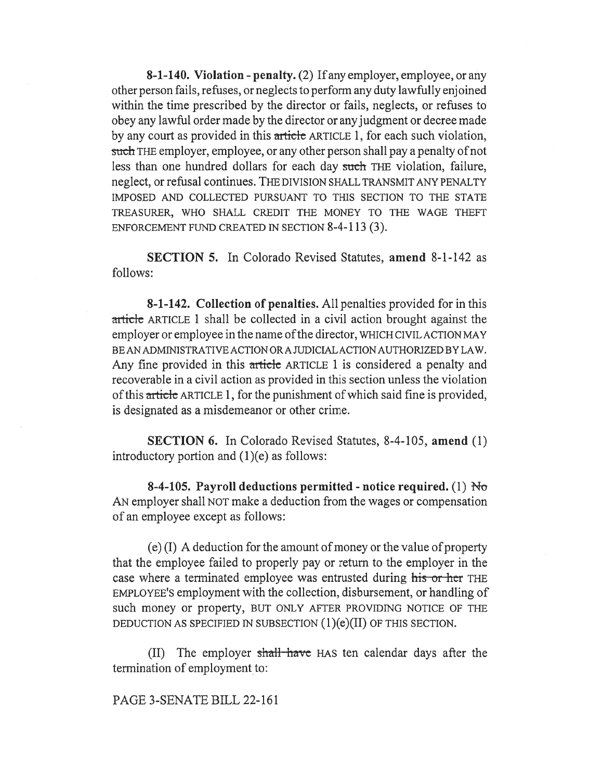8-1-140. Violation - penalty. (2) If any employer, employee, or any other person fails, refuses, or neglects to perform any duty lawfully enjoined within the time prescribed by the director or fails, neglects, or refuses to obey any lawful order made by the director or any judgment or decree made by any court as provided in this article ARTICLE 1, for each such violation, such THE employer, employee, or any other person shall pay a penalty of not less than one hundred dollars for each day such THE violation, failure, neglect, or refusal continues. THE DIVISION SHALL TRANSMIT ANY PENALTY IMPOSED AND COLLECTED PURSUANT TO THIS SECTION TO THE STATE TREASURER, WHO SHALL CREDIT THE MONEY TO THE WAGE THEFT ENFORCEMENT FUND CREATED IN SECTION 8-4-113 (3).

SECTION 5. In Colorado Revised Statutes, amend 8-1-142 as follows:

8-1-142. Collection of penalties. All penalties provided for in this article ARTICLE 1 shall be collected in a civil action brought against the employer or employee in the name of the director, WHICH CIVIL ACTION MAY BE AN ADMINISTRATIVE ACTION OR A JUDICIAL ACTION AUTHORIZED BY LAW. Any fine provided in this article ARTICLE 1 is considered a penalty and recoverable in a civil action as provided in this section unless the violation of this article ARTICLE 1, for the punishment of which said fine is provided, is designated as a misdemeanor or other crime.

SECTION 6. In Colorado Revised Statutes, 8-4-105, amend (1) introductory portion and (1)(e) as follows:

8-4-105. Payroll deductions permitted - notice required. (1)  $N\sigma$ AN employer shall NOT make a deduction from the wages or compensation of an employee except as follows:

(e) (I) A deduction for the amount of money or the value of property that the employee failed to properly pay or return to the employer in the case where a terminated employee was entrusted during his or her THE EMPLOYEE'S employment with the collection, disbursement, or handling of such money or property, BUT ONLY AFTER PROVIDING NOTICE OF THE DEDUCTION AS SPECIFIED IN SUBSECTION (1)(e)(II) OF THIS SECTION.

(II) The employer shall have HAS ten calendar days after the termination of employment to:

PAGE 3-SENATE BILL 22-161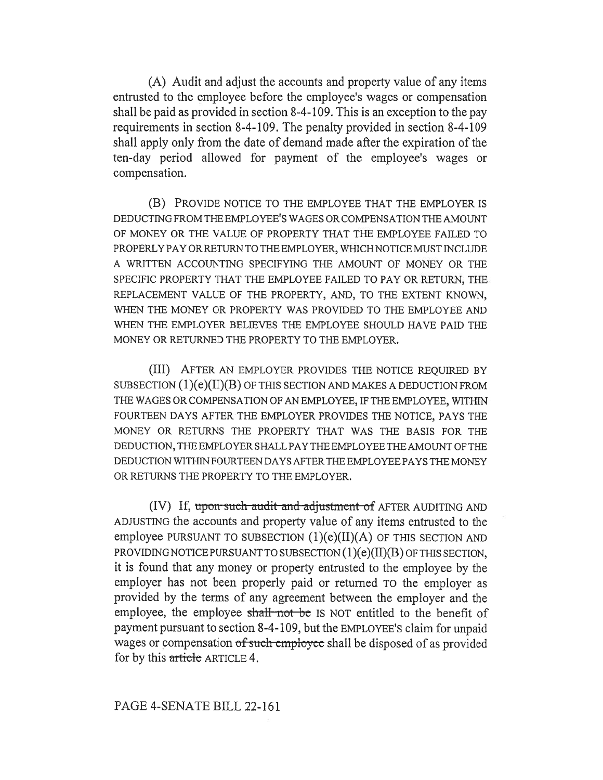(A) Audit and adjust the accounts and property value of any items entrusted to the employee before the employee's wages or compensation shall be paid as provided in section 8-4-109. This is an exception to the pay requirements in section 8-4-109. The penalty provided in section 8-4-109 shall apply only from the date of demand made after the expiration of the ten-day period allowed for payment of the employee's wages or compensation.

(B) PROVIDE NOTICE TO THE EMPLOYEE THAT THE EMPLOYER IS DEDUCTING FROM THE EMPLOYEE'S WAGES OR COMPENSATION THE AMOUNT OF MONEY OR THE VALUE OF PROPERTY THAT THE EMPLOYEE FAILED TO PROPERLY PAY OR RETURN TO THE EMPLOYER, WHICH NOTICE MUST INCLUDE A WRITTEN ACCOUNTING SPECIFYING THE AMOUNT OF MONEY OR THE SPECIFIC PROPERTY THAT THE EMPLOYEE FAILED TO PAY OR RETURN, THE REPLACEMENT VALUE OF THE PROPERTY, AND, TO THE EXTENT KNOWN, WHEN THE MONEY OR PROPERTY WAS PROVIDED TO THE EMPLOYEE AND WHEN THE EMPLOYER BELIEVES THE EMPLOYEE SHOULD HAVE PAID THE MONEY OR RETURNED THE PROPERTY TO THE EMPLOYER.

(III) AFTER AN EMPLOYER PROVIDES THE NOTICE REQUIRED BY SUBSECTION (1)(e)(II)(B) OF THIS SECTION AND MAKES A DEDUCTION FROM THE WAGES OR COMPENSATION OF AN EMPLOYEE, IF THE EMPLOYEE, WITHIN FOURTEEN DAYS AFTER THE EMPLOYER PROVIDES THE NOTICE, PAYS THE MONEY OR RETURNS THE PROPERTY THAT WAS THE BASIS FOR THE DEDUCTION, THE EMPLOYER SHALL PAY THE EMPLOYEE THE AMOUNT OF THE DEDUCTION WITHIN FOURTEEN DAYS AFTER THE EMPLOYEE PAYS THE MONEY OR RETURNS THE PROPERTY TO THE EMPLOYER.

(IV) If, upon such audit and adjustment of AFTER AUDITING AND ADJUSTING the accounts and property value of any items entrusted to the employee PURSUANT TO SUBSECTION (1)(e)(II)(A) OF THIS SECTION AND PROVIDING NOTICE PURSUANT TO SUBSECTION (1)(e)(II)(B) OF THIS SECTION, it is found that any money or property entrusted to the employee by the employer has not been properly paid or returned TO the employer as provided by the terms of any agreement between the employer and the employee, the employee shall not be IS NOT entitled to the benefit of payment pursuant to section 8-4-109, but the EMPLOYEE'S claim for unpaid wages or compensation of such employee shall be disposed of as provided for by this article ARTICLE 4.

## PAGE 4-SENATE BILL 22-161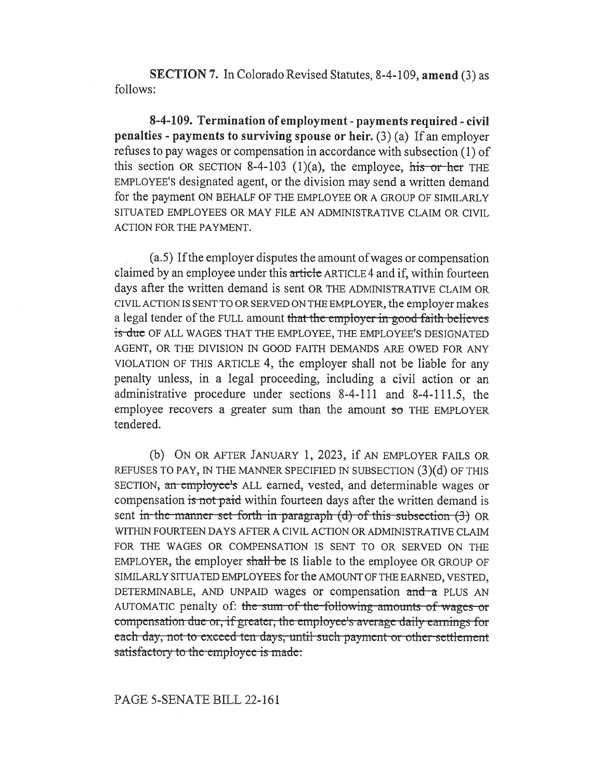SECTION 7. In Colorado Revised Statutes, 8-4-109, amend (3) as follows:

8-4-109. Termination of employment - payments required - civil penalties - payments to surviving spouse or heir. (3) (a) If an employer refuses to pay wages or compensation in accordance with subsection (1) of this section OR SECTION 8-4-103 (1)(a), the employee, his or her THE EMPLOYEE'S designated agent, or the division may send a written demand for the payment ON BEHALF OF THE EMPLOYEE OR A GROUP OF SIMILARLY SITUATED EMPLOYEES OR MAY FILE AN ADMINISTRATIVE CLAIM OR CIVIL ACTION FOR THE PAYMENT.

(a.5) If the employer disputes the amount of wages or compensation claimed by an employee under this article ARTICLE 4 and if, within fourteen days after the written demand is sent OR THE ADMINISTRATIVE CLAIM OR CIVIL ACTION IS SENT TO OR SERVED ON THE EMPLOYER, the employer makes a legal tender of the FULL amount that the employer in good faith believes is due OF ALL WAGES THAT THE EMPLOYEE, THE EMPLOYEE'S DESIGNATED AGENT, OR THE DIVISION IN GOOD FAITH DEMANDS ARE OWED FOR ANY VIOLATION OF THIS ARTICLE 4, the employer shall not be liable for any penalty unless, in a legal proceeding, including a civil action or an administrative procedure under sections 8-4-111 and 8-4-111.5, the employee recovers a greater sum than the amount  $50$  THE EMPLOYER tendered.

(b) ON OR AFTER JANUARY 1, 2023, if AN EMPLOYER FAILS OR REFUSES TO PAY, IN THE MANNER SPECIFIED IN SUBSECTION (3)(d) OF THIS SECTION, an employee's ALL earned, vested, and determinable wages or compensation is not paid within fourteen days after the written demand is sent in the manner set forth-in-paragraph (d) of this subsection  $(3)$  OR WITHIN FOURTEEN DAYS AFTER A CIVIL ACTION OR ADMINISTRATIVE CLAIM FOR THE WAGES OR COMPENSATION IS SENT TO OR SERVED ON THE EMPLOYER, the employer shall be IS liable to the employee OR GROUP OF SIMILARLY SITUATED EMPLOYEES for the AMOUNT OF THE EARNED, VESTED, DETERMINABLE, AND UNPAID wages or compensation and a PLUS AN AUTOMATIC penalty of: the sum of the-following amounts of wages or compensation due or, if greater, the employee's average daily earnings for each day, not to exceed ten days, until-such payment or other settlement satisfactory to the employee is made:

### PAGE 5-SENATE BILL 22-161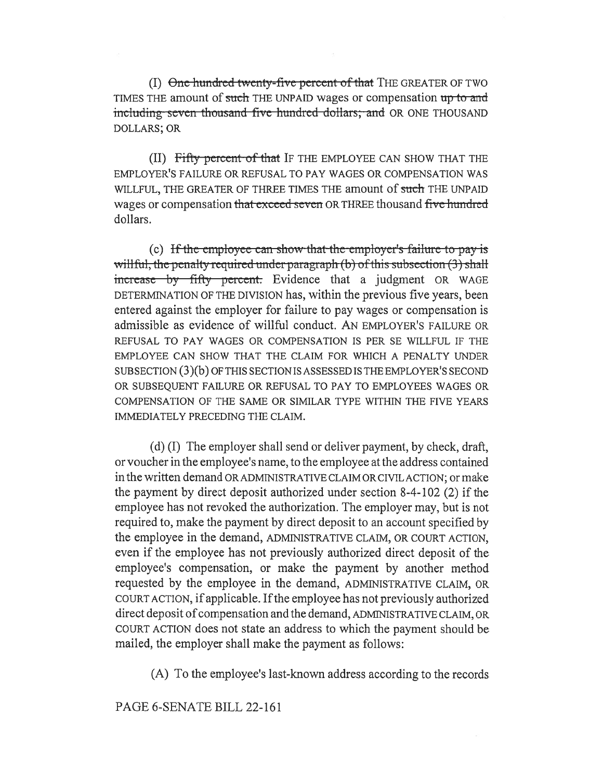$(I)$  One hundred twenty-five percent of that THE GREATER OF TWO TIMES THE amount of such THE UNPAID wages or compensation up to and including-seven-thousand-five-hundred-dollars; and OR ONE THOUSAND DOLLARS; OR

(II) Fifty percent of that IF THE EMPLOYEE CAN SHOW THAT THE EMPLOYER'S FAILURE OR REFUSAL TO PAY WAGES OR COMPENSATION WAS WILLFUL, THE GREATER OF THREE TIMES THE amount of such THE UNPAID wages or compensation that exceed seven OR THREE thousand five hundred dollars.

(c) If the employee can show that the employer's failure to pay is willful, the penalty required under paragraph  $(b)$  of this subsection  $(3)$  shall increase by fifty percent. Evidence that a judgment OR WAGE DETERMINATION OF THE DIVISION has, within the previous five years, been entered against the employer for failure to pay wages or compensation is admissible as evidence of willful conduct. AN EMPLOYER'S FAILURE OR REFUSAL TO PAY WAGES OR COMPENSATION IS PER SE WILLFUL IF THE EMPLOYEE CAN SHOW THAT THE CLAIM FOR WHICH A PENALTY UNDER SUBSECTION (3)(b) OF THIS SECTION IS ASSESSED IS THE EMPLOYER'S SECOND OR SUBSEQUENT FAILURE OR REFUSAL TO PAY TO EMPLOYEES WAGES OR COMPENSATION OF THE SAME OR SIMILAR TYPE WITHIN THE FIVE YEARS IMMEDIATELY PRECEDING THE CLAIM.

(d) (I) The employer shall send or deliver payment, by check, draft, or voucher in the employee's name, to the employee at the address contained in the written demand OR ADMINISTRATIVE CLAIM OR CIVIL ACTION; or make the payment by direct deposit authorized under section 8-4-102 (2) if the employee has not revoked the authorization. The employer may, but is not required to, make the payment by direct deposit to an account specified by the employee in the demand, ADMINISTRATIVE CLAIM, OR COURT ACTION, even if the employee has not previously authorized direct deposit of the employee's compensation, or make the payment by another method requested by the employee in the demand, ADMINISTRATIVE CLAIM, OR COURT ACTION, if applicable. If the employee has not previously authorized direct deposit of compensation and the demand, ADMINISTRATIVE CLAIM, OR COURT ACTION does not state an address to which the payment should be mailed, the employer shall make the payment as follows:

(A) To the employee's last-known address according to the records

PAGE 6-SENATE BILL 22-161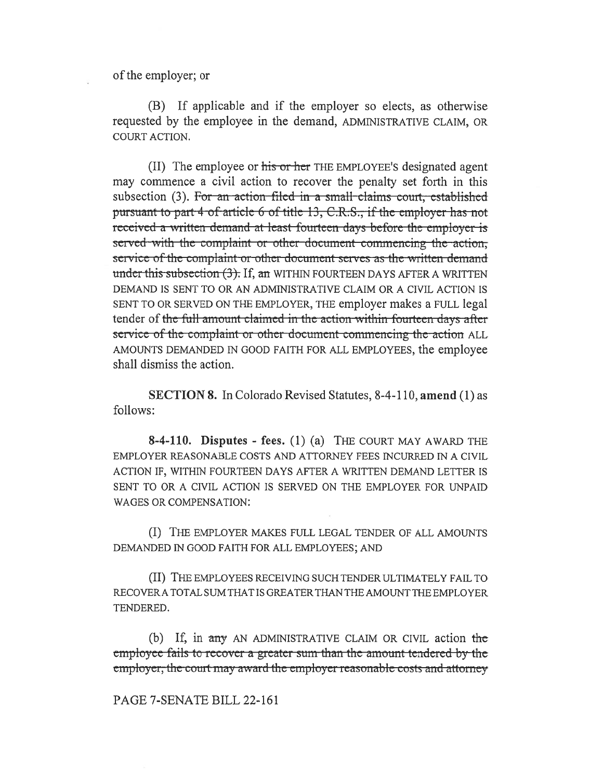of the employer; or

(B) If applicable and if the employer so elects, as otherwise requested by the employee in the demand, ADMINISTRATIVE CLAIM, OR COURT ACTION.

(II) The employee or his or her THE EMPLOYEE's designated agent may commence a civil action to recover the penalty set forth in this subsection (3). For an action filed in a small claims court, established pursuant to part 4 of article 6 of title 13, C.R.S., if the employer has not received a written-demand at least-fourteen days before the employer is served with the complaint or other document commencing the action; service of the complaint or other document serves as the written demand under this subsection  $(3)$ . If, an WITHIN FOURTEEN DAYS AFTER A WRITTEN DEMAND IS SENT TO OR AN ADMINISTRATIVE CLAIM OR A CIVIL ACTION IS SENT TO OR SERVED ON THE EMPLOYER, THE employer makes a FULL legal tender of the full-amount-elaimed in the action within fourteen days after service of the complaint or other document commencing the action ALL AMOUNTS DEMANDED IN GOOD FAITH FOR ALL EMPLOYEES, the employee shall dismiss the action.

SECTION 8. In Colorado Revised Statutes, 8-4-110, amend (1) as follows:

8-4-110. Disputes - fees. (1) (a) THE COURT MAY AWARD THE EMPLOYER REASONABLE COSTS AND ATTORNEY FEES INCURRED IN A CIVIL ACTION IF, WITHIN FOURTEEN DAYS AFTER A WRITTEN DEMAND LETTER IS SENT TO OR A CIVIL ACTION IS SERVED ON THE EMPLOYER FOR UNPAID WAGES OR COMPENSATION:

(I) THE EMPLOYER MAKES FULL LEGAL TENDER OF ALL AMOUNTS DEMANDED IN GOOD FAITH FOR ALL EMPLOYEES; AND

(II) THE EMPLOYEES RECEIVING SUCH TENDER ULTIMATELY FAIL TO RECOVER A TOTAL SUM THAT IS GREATER THAN THE AMOUNT THE EMPLOYER TENDERED.

(b) If, in any AN ADMINISTRATIVE CLAIM OR CIVIL action the employee-fails to recover a greater sum-than the amount-tendered-by-theemployer, the court may award the employer reasonable costs and attorney

PAGE 7-SENATE BILL 22-161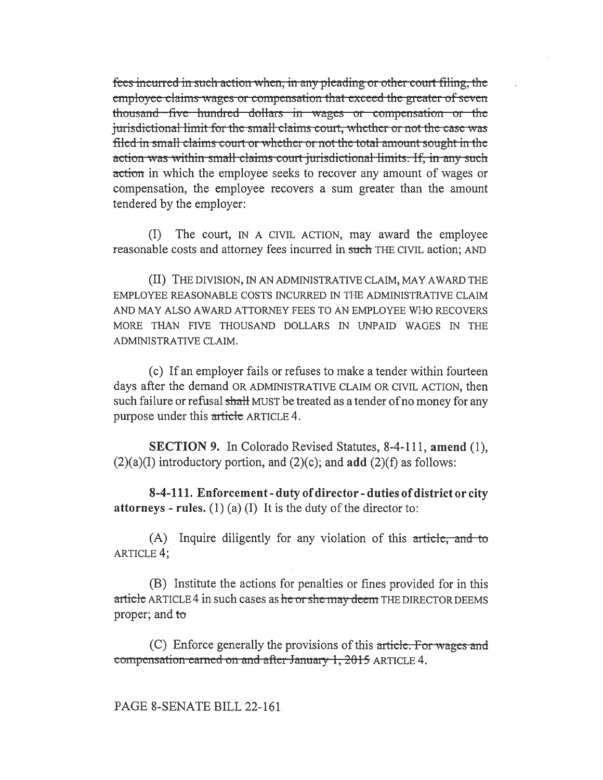fees incurred in such action when, in any pleading or other court filing, the employee claims wages or compensation that exceed the greater of seven thousand—five—hundred dollars in wages or compensation or the jurisdictional limit for the small claims court, whether or not the case was filed in small claims court or whether or not the total amount sought in the action was within small claims court jurisdictional limits. If, in any such action in which the employee seeks to recover any amount of wages or compensation, the employee recovers a sum greater than the amount tendered by the employer:

(I) The court, IN A CIVIL ACTION, may award the employee reasonable costs and attorney fees incurred in such THE CIVIL action; AND

(II) THE DIVISION, IN AN ADMINISTRATIVE CLAIM, MAY AWARD THE EMPLOYEE REASONABLE COSTS INCURRED IN THE ADMINISTRATIVE CLAIM AND MAY ALSO AWARD ATTORNEY FEES TO AN EMPLOYEE WHO RECOVERS MORE THAN FIVE THOUSAND DOLLARS IN UNPAID WAGES IN THE ADMINISTRATIVE CLAIM.

(c) If an employer fails or refuses to make a tender within fourteen days after the demand OR ADMINISTRATIVE CLAIM OR CIVIL ACTION, then such failure or refusal shall MUST be treated as a tender of no money for any purpose under this article ARTICLE 4.

SECTION 9. In Colorado Revised Statutes, 8-4-111, amend (1),  $(2)(a)(I)$  introductory portion, and  $(2)(c)$ ; and add  $(2)(f)$  as follows:

8-4-111. Enforcement - duty of director - duties of district or city **attorneys** - rules. (1) (a) (I) It is the duty of the director to:

 $(A)$  Inquire diligently for any violation of this article, and to ARTICLE 4;

(B) Institute the actions for penalties or fines provided for in this article ARTICLE 4 in such cases as he or she may deem THE DIRECTOR DEEMS proper; and to

(C) Enforce generally the provisions of this article. For wages and compensation earned on and after January 1, 2015 ARTICLE 4.

# PAGE 8-SENATE BILL 22-161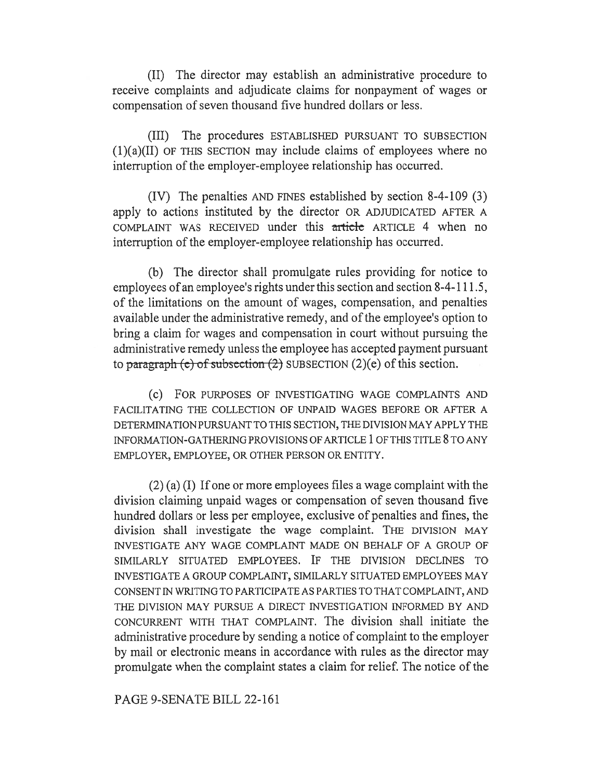(II) The director may establish an administrative procedure to receive complaints and adjudicate claims for nonpayment of wages or compensation of seven thousand five hundred dollars or less.

(III) The procedures ESTABLISHED PURSUANT TO SUBSECTION  $(1)(a)(II)$  OF THIS SECTION may include claims of employees where no interruption of the employer-employee relationship has occurred.

(IV) The penalties AND FINES established by section 8-4-109 (3) apply to actions instituted by the director OR ADJUDICATED AFTER A COMPLAINT WAS RECEIVED under this article ARTICLE 4 when no interruption of the employer-employee relationship has occurred.

(b) The director shall promulgate rules providing for notice to employees of an employee's rights under this section and section 8-4-111.5, of the limitations on the amount of wages, compensation, and penalties available under the administrative remedy, and of the employee's option to bring a claim for wages and compensation in court without pursuing the administrative remedy unless the employee has accepted payment pursuant to paragraph (e) of subsection  $(2)$  SUBSECTION  $(2)(e)$  of this section.

(c) FOR PURPOSES OF INVESTIGATING WAGE COMPLAINTS AND FACILITATING THE COLLECTION OF UNPAID WAGES BEFORE OR AFTER A DETERMINATION PURSUANT TO THIS SECTION, THE DIVISION MAY APPLY THE INFORMATION-GATHERING PROVISIONS OF ARTICLE 1 OF THIS TITLE 8 TO ANY EMPLOYER, EMPLOYEE, OR OTHER PERSON OR ENTITY.

(2) (a) (I) If one or more employees files a wage complaint with the division claiming unpaid wages or compensation of seven thousand five hundred dollars or less per employee, exclusive of penalties and fines, the division shall investigate the wage complaint. THE DIVISION MAY INVESTIGATE ANY WAGE COMPLAINT MADE ON BEHALF OF A GROUP OF SIMILARLY SITUATED EMPLOYEES. IF THE DIVISION DECLINES TO INVESTIGATE A GROUP COMPLAINT, SIMILARLY SITUATED EMPLOYEES MAY CONSENT IN WRITING TO PARTICIPATE AS PARTIES TO THAT COMPLAINT, AND THE DIVISION MAY PURSUE A DIRECT INVESTIGATION INFORMED BY AND CONCURRENT WITH THAT COMPLAINT. The division shall initiate the administrative procedure by sending a notice of complaint to the employer by mail or electronic means in accordance with rules as the director may promulgate when the complaint states a claim for relief. The notice of the

### PAGE 9-SENATE BILL 22-161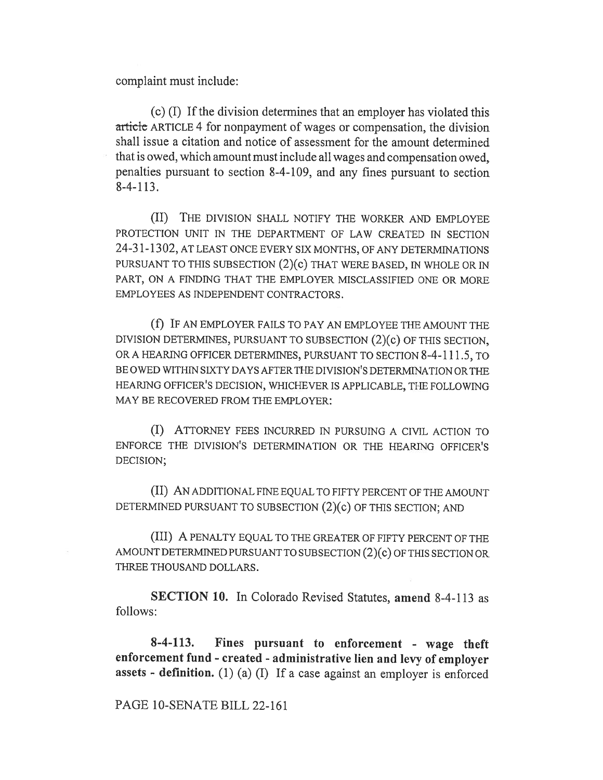complaint must include:

(c) (I) If the division determines that an employer has violated this article ARTICLE 4 for nonpayment of wages or compensation, the division shall issue a citation and notice of assessment for the amount determined that is owed, which amount must include all wages and compensation owed, penalties pursuant to section 8-4-109, and any fines pursuant to section 8-4-113.

(II) THE DIVISION SHALL NOTIFY THE WORKER AND EMPLOYEE PROTECTION UNIT IN THE DEPARTMENT OF LAW CREATED IN SECTION 24-31-1302, AT LEAST ONCE EVERY SIX MONTHS, OF ANY DETERMINATIONS PURSUANT TO THIS SUBSECTION (2)(c) THAT WERE BASED, IN WHOLE OR IN PART, ON A FINDING THAT THE EMPLOYER MISCLASSIFIED ONE OR MORE EMPLOYEES AS INDEPENDENT CONTRACTORS.

(f) IF AN EMPLOYER FAILS TO PAY AN EMPLOYEE THE AMOUNT THE DIVISION DETERMINES, PURSUANT TO SUBSECTION (2)(c) OF THIS SECTION, OR A HEARING OFFICER DETERMINES, PURSUANT TO SECTION 8-4-111.5, TO BE OWED WITHIN SIXTY DAYS AFTER THE DIVISION'S DETERMINATION OR THE HEARING OFFICER'S DECISION, WHICHEVER IS APPLICABLE, THE FOLLOWING MAY BE RECOVERED FROM THE EMPLOYER:

(I) ATTORNEY FEES INCURRED IN PURSUING A CIVIL ACTION TO ENFORCE THE DIVISION'S DETERMINATION OR THE HEARING OFFICER'S DECISION;

(II) AN ADDITIONAL FINE EQUAL TO FIFTY PERCENT OF THE AMOUNT DETERMINED PURSUANT TO SUBSECTION (2)(c) OF THIS SECTION; AND

(III) A PENALTY EQUAL TO THE GREATER OF FIFTY PERCENT OF THE AMOUNT DETERMINED PURSUANT TO SUBSECTION (2)(c) OF THIS SECTION OR THREE THOUSAND DOLLARS.

SECTION 10. In Colorado Revised Statutes, amend 8-4-113 as follows:

8-4-113. Fines pursuant to enforcement - wage theft enforcement fund - created - administrative lien and levy of employer assets - definition. (1) (a) (I) If a case against an employer is enforced

#### PAGE 10-SENATE BILL 22-161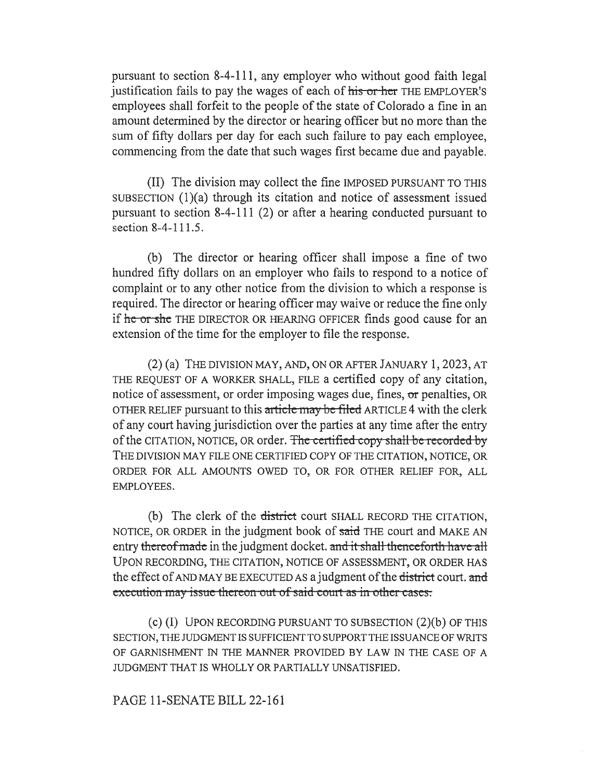pursuant to section 8-4-111, any employer who without good faith legal justification fails to pay the wages of each of his or her THE EMPLOYER'S employees shall forfeit to the people of the state of Colorado a fine in an amount determined by the director or hearing officer but no more than the sum of fifty dollars per day for each such failure to pay each employee, commencing from the date that such wages first became due and payable.

(II) The division may collect the fine IMPOSED PURSUANT TO THIS SUBSECTION (1)(a) through its citation and notice of assessment issued pursuant to section 8-4-111 (2) or after a hearing conducted pursuant to section 8-4-111.5.

(b) The director or hearing officer shall impose a fine of two hundred fifty dollars on an employer who fails to respond to a notice of complaint or to any other notice from the division to which a response is required. The director or hearing officer may waive or reduce the fine only if he or she THE DIRECTOR OR HEARING OFFICER finds good cause for an extension of the time for the employer to file the response.

(2) (a) THE DIVISION MAY, AND, ON OR AFTER JANUARY 1, 2023, AT THE REQUEST OF A WORKER SHALL, FILE a certified copy of any citation, notice of assessment, or order imposing wages due, fines, or penalties, OR OTHER RELIEF pursuant to this article may be filed ARTICLE 4 with the clerk of any court having jurisdiction over the parties at any time after the entry of the CITATION, NOTICE, OR order. The certified copy shall be recorded by THE DIVISION MAY FILE ONE CERTIFIED COPY OF THE CITATION, NOTICE, OR ORDER FOR ALL AMOUNTS OWED TO, OR FOR OTHER RELIEF FOR, ALL EMPLOYEES.

(b) The clerk of the district court SHALL RECORD THE CITATION, NOTICE, OR ORDER in the judgment book of said THE court and MAKE AN entry thereof made in the judgment docket. and it shall thenceforth have all UPON RECORDING, THE CITATION, NOTICE OF ASSESSMENT, OR ORDER HAS the effect of AND MAY BE EXECUTED AS a judgment of the district court. and execution may issue thereon out of said court as in other cases.

(c) (I) UPON RECORDING PURSUANT TO SUBSECTION (2)(b) OF THIS SECTION, THE JUDGMENT IS SUFFICIENT TO SUPPORT THE ISSUANCE OF WRITS OF GARNISHMENT IN THE MANNER PROVIDED BY LAW IN THE CASE OF A JUDGMENT THAT IS WHOLLY OR PARTIALLY UNSATISFIED.

### PAGE 11-SENATE BILL 22-161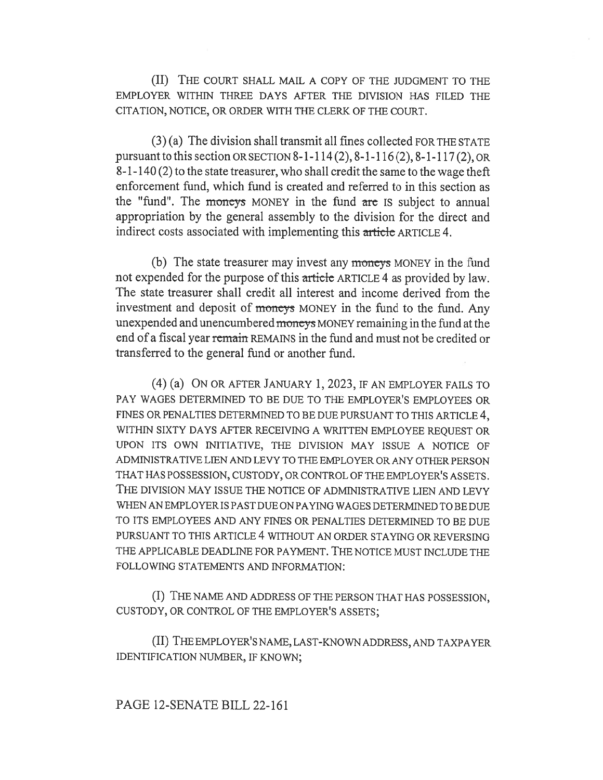(II) THE COURT SHALL MAIL A COPY OF THE JUDGMENT TO THE EMPLOYER WITHIN THREE DAYS AFTER THE DIVISION HAS FILED THE CITATION, NOTICE, OR ORDER WITH THE CLERK OF THE COURT.

(3) (a) The division shall transmit all fines collected FOR THE STATE pursuant to this section OR SECTION 8-1-114 (2), 8-1-116 (2), 8-1-117 (2), OR 8-1-140 (2) to the state treasurer, who shall credit the same to the wage theft enforcement fund, which fund is created and referred to in this section as the "fund". The moneys MONEY in the fund are IS subject to annual appropriation by the general assembly to the division for the direct and indirect costs associated with implementing this article ARTICLE 4.

(b) The state treasurer may invest any moneys MONEY in the fund not expended for the purpose of this articic ARTICLE 4 as provided by law. The state treasurer shall credit all interest and income derived from the investment and deposit of moneys MONEY in the fund to the fund. Any unexpended and unencumbered moneys MONEY remaining in the fund at the end of a fiscal year remain REMAINS in the fund and must not be credited or transferred to the general fund or another fund.

(4) (a) ON OR AFTER JANUARY 1, 2023, IF AN EMPLOYER FAILS TO PAY WAGES DETERMINED TO BE DUE TO THE EMPLOYER'S EMPLOYEES OR FINES OR PENALTIES DETERMINED TO BE DUE PURSUANT TO THIS ARTICLE 4, WITHIN SIXTY DAYS AFTER RECEIVING A WRITTEN EMPLOYEE REQUEST OR UPON ITS OWN INITIATIVE, THE DIVISION MAY ISSUE A NOTICE OF ADMINISTRATIVE LIEN AND LEVY TO THE EMPLOYER OR ANY OTHER PERSON THAT HAS POSSESSION, CUSTODY, OR CONTROL OF THE EMPLOYER'S ASSETS. THE DIVISION MAY ISSUE THE NOTICE OF ADMINISTRATIVE LIEN AND LEVY WHEN AN EMPLOYER IS PAST DUE ON PAYING WAGES DETERMINED TO BE DUE TO ITS EMPLOYEES AND ANY FINES OR PENALTIES DETERMINED TO BE DUE PURSUANT TO THIS ARTICLE 4 WITHOUT AN ORDER STAYING OR REVERSING THE APPLICABLE DEADLINE FOR PAYMENT. THE NOTICE MUST INCLUDE THE FOLLOWING STATEMENTS AND INFORMATION:

(I) THE NAME AND ADDRESS OF THE PERSON THAT HAS POSSESSION, CUSTODY, OR CONTROL OF THE EMPLOYER'S ASSETS;

(II) THE EMPLOYER'S NAME, LAST-KNOWN ADDRESS, AND TAXPAYER IDENTIFICATION NUMBER, IF KNOWN;

### PAGE 12-SENATE BILL 22-161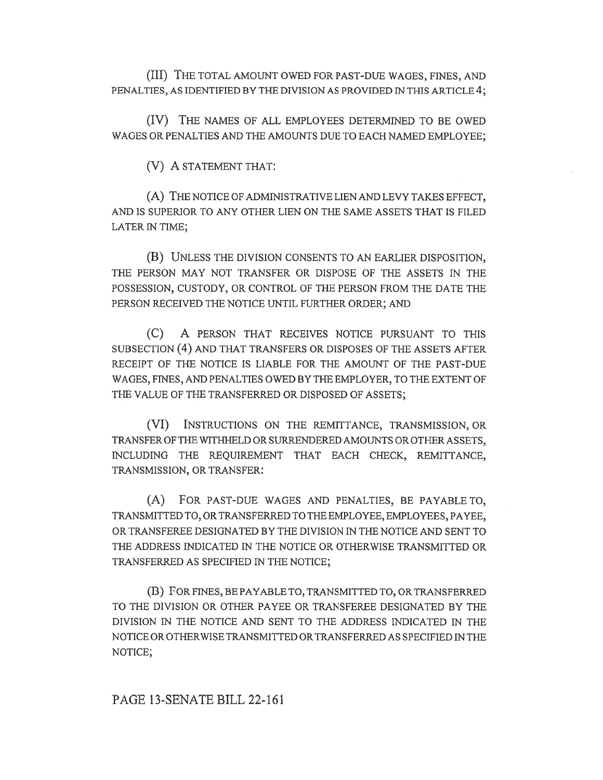(III) THE TOTAL AMOUNT OWED FOR PAST-DUE WAGES, FINES, AND PENALTIES, AS IDENTIFIED BY THE DIVISION AS PROVIDED IN THIS ARTICLE 4;

(IV) THE NAMES OF ALL EMPLOYEES DETERMINED TO BE OWED WAGES OR PENALTIES AND THE AMOUNTS DUE TO EACH NAMED EMPLOYEE;

(V) A STATEMENT THAT:

(A) THE NOTICE OF ADMINISTRATIVE LIEN AND LEVY TAKES EFFECT, AND IS SUPERIOR TO ANY OTHER LIEN ON THE SAME ASSETS THAT IS FILED LATER IN TIME;

(B) UNLESS THE DIVISION CONSENTS TO AN EARLIER DISPOSITION, THE PERSON MAY NOT TRANSFER OR DISPOSE OF THE ASSETS IN THE POSSESSION, CUSTODY, OR CONTROL OF THE PERSON FROM THE DATE THE PERSON RECEIVED THE NOTICE UNTIL FURTHER ORDER; AND

(C) A PERSON THAT RECEIVES NOTICE PURSUANT TO THIS SUBSECTION (4) AND THAT TRANSFERS OR DISPOSES OF THE ASSETS AFTER RECEIPT OF THE NOTICE IS LIABLE FOR THE AMOUNT OF THE PAST-DUE WAGES, FINES, AND PENALTIES OWED BY THE EMPLOYER, TO THE EXTENT OF THE VALUE OF THE TRANSFERRED OR DISPOSED OF ASSETS;

(VI) INSTRUCTIONS ON THE REMITTANCE, TRANSMISSION, OR TRANSFER OF THE WITHHELD OR SURRENDERED AMOUNTS OR OTHER ASSETS, INCLUDING THE REQUIREMENT THAT EACH CHECK, REMITTANCE, TRANSMISSION, OR TRANSFER:

(A) FOR PAST-DUE WAGES AND PENALTIES, BE PAYABLE TO, TRANSMITTED TO, OR TRANSFERRED TO THE EMPLOYEE, EMPLOYEES, PAYEE, OR TRANSFEREE DESIGNATED BY THE DIVISION IN THE NOTICE AND SENT TO THE ADDRESS INDICATED IN THE NOTICE OR OTHERWISE TRANSMITTED OR TRANSFERRED AS SPECIFIED IN THE NOTICE;

(B) FOR FINES, BE PAYABLE TO, TRANSMITTED TO, OR TRANSFERRED TO THE DIVISION OR OTHER PAYEE OR TRANSFEREE DESIGNATED BY THE DIVISION IN THE NOTICE AND SENT TO THE ADDRESS INDICATED IN THE NOTICE OR OTHERWISE TRANSMITTED OR TRANSFERRED AS SPECIFIED IN THE NOTICE;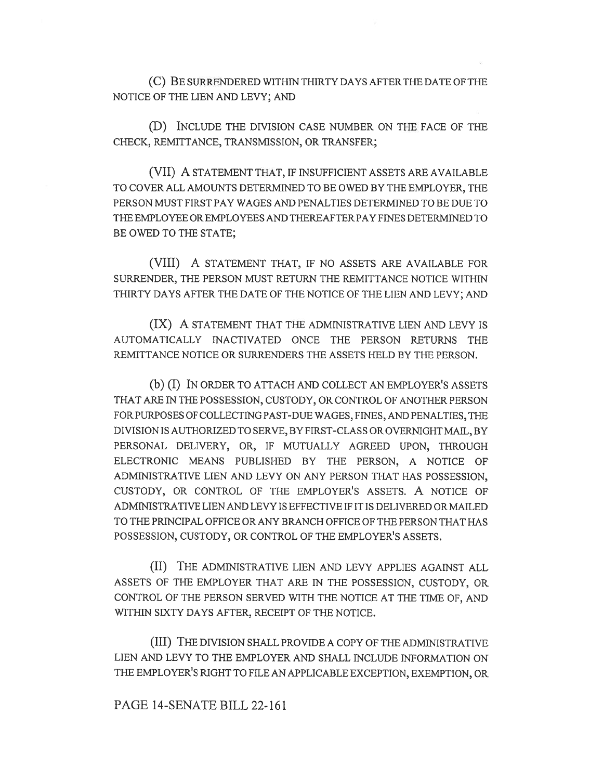(C) BE SURRENDERED WITHIN THIRTY DAYS AFTER THE DATE OF THE NOTICE OF THE LIEN AND LEVY; AND

(D) INCLUDE THE DIVISION CASE NUMBER ON THE FACE OF THE CHECK, REMITTANCE, TRANSMISSION, OR TRANSFER;

(VII) A STATEMENT THAT, IF INSUFFICIENT ASSETS ARE AVAILABLE TO COVER ALL AMOUNTS DETERMINED TO BE OWED BY THE EMPLOYER, THE PERSON MUST FIRST PAY WAGES AND PENALTIES DETERMINED TO BE DUE TO THE EMPLOYEE OR EMPLOYEES AND THEREAFTER PAY FINES DETERMINED TO BE OWED TO THE STATE;

(VIII) A STATEMENT THAT, IF NO ASSETS ARE AVAILABLE FOR SURRENDER, THE PERSON MUST RETURN THE REMITTANCE NOTICE WITHIN THIRTY DAYS AFTER THE DATE OF THE NOTICE OF THE LIEN AND LEVY; AND

(IX) A STATEMENT THAT THE ADMINISTRATIVE LIEN AND LEVY IS AUTOMATICALLY INACTIVATED ONCE THE PERSON RETURNS THE REMITTANCE NOTICE OR SURRENDERS THE ASSETS HELD BY THE PERSON.

(b) (I) IN ORDER TO ATTACH AND COLLECT AN EMPLOYER'S ASSETS THAT ARE IN THE POSSESSION, CUSTODY, OR CONTROL OF ANOTHER PERSON FOR PURPOSES OF COLLECTING PAST-DUE WAGES, FINES, AND PENALTIES, THE DIVISION IS AUTHORIZED TO SERVE, BY FIRST-CLASS OR OVERNIGHT MAIL, BY PERSONAL DELIVERY, OR, IF MUTUALLY AGREED UPON, THROUGH ELECTRONIC MEANS PUBLISHED BY THE PERSON, A NOTICE OF ADMINISTRATIVE LIEN AND LEVY ON ANY PERSON THAT HAS POSSESSION, CUSTODY, OR CONTROL OF THE EMPLOYER'S ASSETS. A NOTICE OF ADMINISTRATIVE LIEN AND LEVY IS EFFECTIVE IF IT IS DELIVERED OR MAILED TO THE PRINCIPAL OFFICE OR ANY BRANCH OFFICE OF THE PERSON THAT HAS POSSESSION, CUSTODY, OR CONTROL OF THE EMPLOYER'S ASSETS.

(II) THE ADMINISTRATIVE LIEN AND LEVY APPLIES AGAINST ALL ASSETS OF THE EMPLOYER THAT ARE IN THE POSSESSION, CUSTODY, OR CONTROL OF THE PERSON SERVED WITH THE NOTICE AT THE TIME OF, AND WITHIN SIXTY DAYS AFTER, RECEIPT OF THE NOTICE.

(III) THE DIVISION SHALL PROVIDE A COPY OF THE ADMINISTRATIVE LIEN AND LEVY TO THE EMPLOYER AND SHALL INCLUDE INFORMATION ON THE EMPLOYER'S RIGHT TO FILE AN APPLICABLE EXCEPTION, EXEMPTION, OR

PAGE 14-SENATE BILL 22-161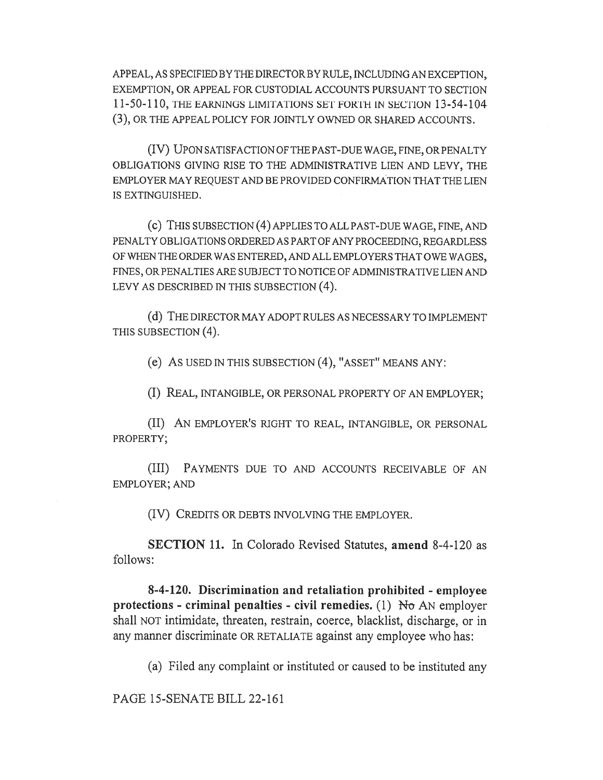APPEAL, AS SPECIFIED BY THE DIRECTOR BY RULE, INCLUDING AN EXCEPTION, EXEMPTION, OR APPEAL FOR CUSTODIAL ACCOUNTS PURSUANT TO SECTION 11-50-110, THE EARNINGS LIMITATIONS SET FORTH IN SECTION 13-54-104 (3), OR THE APPEAL POLICY FOR JOINTLY OWNED OR SHARED ACCOUNTS.

(IV) UPON SATISFACTION OF THE PAST-DUE WAGE, FINE, OR PENALTY OBLIGATIONS GIVING RISE TO THE ADMINISTRATIVE LIEN AND LEVY, THE EMPLOYER MAY REQUEST AND BE PROVIDED CONFIRMATION THAT THE LIEN IS EXTINGUISHED.

(c) THIS SUBSECTION (4) APPLIES TO ALL PAST-DUE WAGE, FINE, AND PENALTY OBLIGATIONS ORDERED AS PART OF ANY PROCEEDING, REGARDLESS OF WHEN THE ORDER WAS ENTERED, AND ALL EMPLOYERS THAT OWE WAGES, FINES, OR PENALTIES ARE SUBJECT TO NOTICE OF ADMINISTRATIVE LIEN AND LEVY AS DESCRIBED IN THIS SUBSECTION (4).

(d) THE DIRECTOR MAY ADOPT RULES AS NECESSARY TO IMPLEMENT THIS SUBSECTION (4).

(e) AS USED IN THIS SUBSECTION (4), "ASSET" MEANS ANY:

(I) REAL, INTANGIBLE, OR PERSONAL PROPERTY OF AN EMPLOYER;

(II) AN EMPLOYER'S RIGHT TO REAL, INTANGIBLE, OR PERSONAL PROPERTY;

(III) PAYMENTS DUE TO AND ACCOUNTS RECEIVABLE OF AN EMPLOYER; AND

(IV) CREDITS OR DEBTS INVOLVING THE EMPLOYER.

SECTION 11. In Colorado Revised Statutes, amend 8-4-120 as follows:

8-4-120. Discrimination and retaliation prohibited - employee protections - criminal penalties - civil remedies. (1) No AN employer shall NOT intimidate, threaten, restrain, coerce, blacklist, discharge, or in any manner discriminate OR RETALIATE against any employee who has:

(a) Filed any complaint or instituted or caused to be instituted any

PAGE 15-SENATE BILL 22-161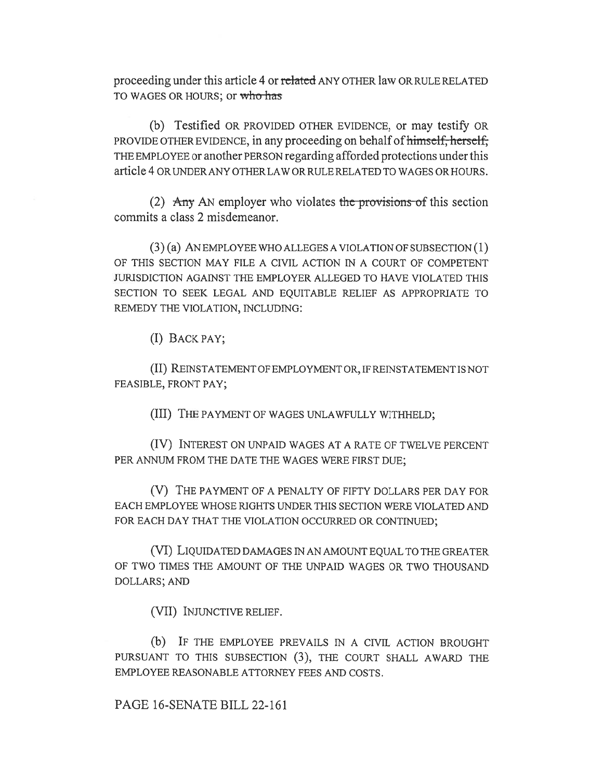proceeding under this article 4 or related ANY OTHER law OR RULE RELATED TO WAGES OR HOURS; or who has

(b) Testified OR PROVIDED OTHER EVIDENCE, or may testify OR PROVIDE OTHER EVIDENCE, in any proceeding on behalf of himself, herself, THE EMPLOYEE or another PERSON regarding afforded protections under this article 4 OR UNDER ANY OTHER LAW OR RULE RELATED TO WAGES OR HOURS.

(2) Any AN employer who violates the provisions of this section commits a class 2 misdemeanor.

(3) (a) AN EMPLOYEE WHO ALLEGES A VIOLATION OF SUBSECTION (1) OF THIS SECTION MAY FILE A CIVIL ACTION IN A COURT OF COMPETENT JURISDICTION AGAINST THE EMPLOYER ALLEGED TO HAVE VIOLATED THIS SECTION TO SEEK LEGAL AND EQUITABLE RELIEF AS APPROPRIATE TO REMEDY THE VIOLATION, INCLUDING:

(I) BACK PAY;

(II) REINSTATEMENT OF EMPLOYMENT OR, IF REINSTATEMENT IS NOT FEASIBLE, FRONT PAY;

(III) THE PAYMENT OF WAGES UNLAWFULLY WITHHELD;

(IV) INTEREST ON UNPAID WAGES AT A RATE OF TWELVE PERCENT PER ANNUM FROM THE DATE THE WAGES WERE FIRST DUE;

(V) THE PAYMENT OF A PENALTY OF FIFTY DOLLARS PER DAY FOR EACH EMPLOYEE WHOSE RIGHTS UNDER THIS SECTION WERE VIOLATED AND FOR EACH DAY THAT THE VIOLATION OCCURRED OR CONTINUED;

(VI) LIQUIDATED DAMAGES IN AN AMOUNT EQUAL TO THE GREATER OF TWO TIMES THE AMOUNT OF THE UNPAID WAGES OR TWO THOUSAND DOLLARS; AND

(VII) INJUNCTIVE RELIEF.

(b) IF THE EMPLOYEE PREVAILS IN A CIVIL ACTION BROUGHT PURSUANT TO THIS SUBSECTION (3), THE COURT SHALL AWARD THE EMPLOYEE REASONABLE ATTORNEY FEES AND COSTS.

PAGE 16-SENATE BILL 22-161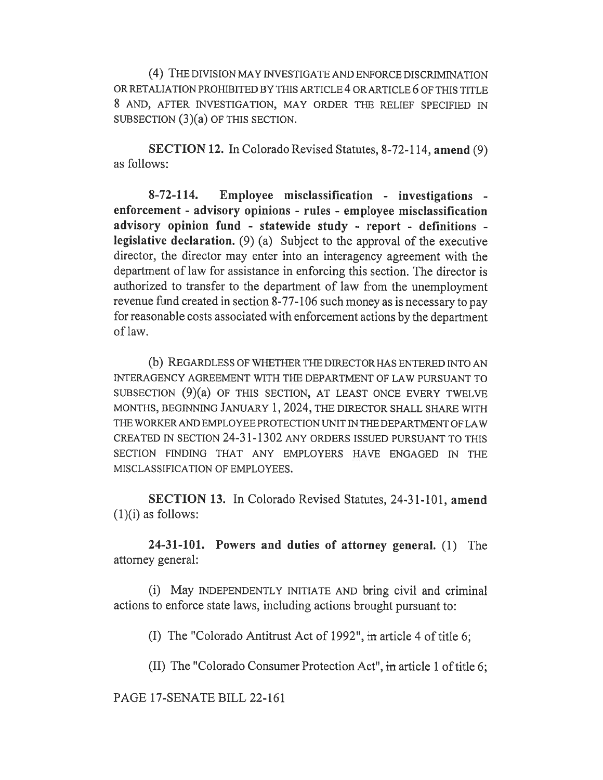(4) THE DIVISION MAY INVESTIGATE AND ENFORCE DISCRIMINATION OR RETALIATION PROHIBITED BY THIS ARTICLE 4 OR ARTICLE 6 OF THIS TITLE 8 AND, AFTER INVESTIGATION, MAY ORDER THE RELIEF SPECIFIED IN SUBSECTION (3)(a) OF THIS SECTION.

SECTION 12. In Colorado Revised Statutes, 8-72-114, amend (9) as follows:

8-72-114. Employee misclassification - investigations enforcement - advisory opinions - rules - employee misclassification advisory opinion fund - statewide study - report - definitions legislative declaration. (9) (a) Subject to the approval of the executive director, the director may enter into an interagency agreement with the department of law for assistance in enforcing this section. The director is authorized to transfer to the department of law from the unemployment revenue fund created in section 8-77-106 such money as is necessary to pay for reasonable costs associated with enforcement actions by the department of law.

(b) REGARDLESS OF WHETHER THE DIRECTOR HAS ENTERED INTO AN INTERAGENCY AGREEMENT WITH THE DEPARTMENT OF LAW PURSUANT TO SUBSECTION  $(9)(a)$  OF THIS SECTION, AT LEAST ONCE EVERY TWELVE MONTHS, BEGINNING JANUARY 1, 2024, THE DIRECTOR SHALL SHARE WITH THE WORKER AND EMPLOYEE PROTECTION UNIT IN THE DEPARTMENT OF LAW CREATED IN SECTION 24-31-1302 ANY ORDERS ISSUED PURSUANT TO THIS SECTION FINDING THAT ANY EMPLOYERS HAVE ENGAGED IN THE MISCLASSIFICATION OF EMPLOYEES.

SECTION 13. In Colorado Revised Statutes, 24-31-101, amend  $(1)(i)$  as follows:

24-31-101. Powers and duties of attorney general. (1) The attorney general:

(i) May INDEPENDENTLY INITIATE AND bring civil and criminal actions to enforce state laws, including actions brought pursuant to:

(I) The "Colorado Antitrust Act of 1992", in article 4 of title 6;

(II) The "Colorado Consumer Protection Act", in article 1 of title 6;

PAGE 17-SENATE BILL 22-161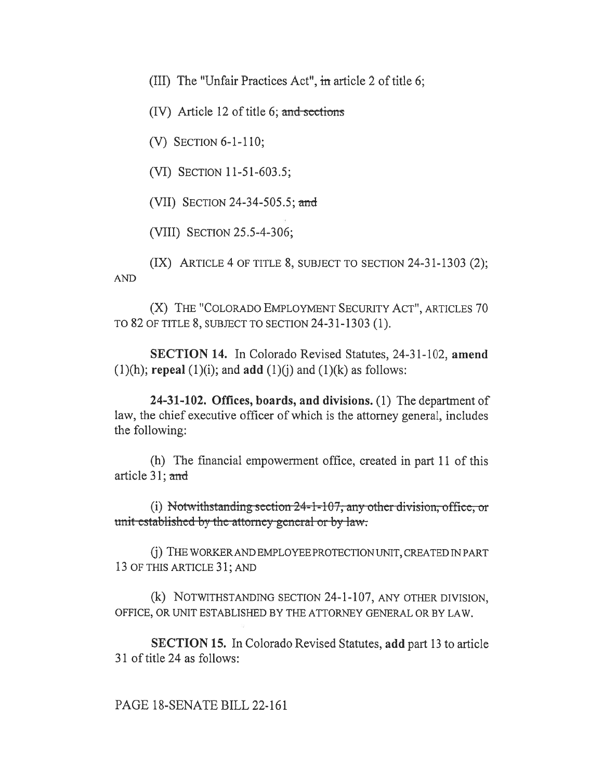(III) The "Unfair Practices Act", in article 2 of title 6;

 $(IV)$  Article 12 of title 6; and sections

(V) SECTION 6-1-110;

(VI) SECTION 11-51-603.5;

(VII) SECTION 24-34-505.5; and

(VIII) SECTION 25.5-4-306;

(IX) ARTICLE 4 OF TITLE 8, SUBJECT TO SECTION 24-31-1303 (2); AND

(X) THE "COLORADO EMPLOYMENT SECURITY ACT", ARTICLES 70 TO 82 OF TITLE 8, SUBJECT TO SECTION 24-31-1303 (1).

SECTION 14. In Colorado Revised Statutes, 24-31-102, amend  $(1)(h)$ ; repeal  $(1)(i)$ ; and add  $(1)(i)$  and  $(1)(k)$  as follows:

24-31-102. Offices, boards, and divisions. (1) The department of law, the chief executive officer of which is the attorney general, includes the following:

(h) The financial empowerment office, created in part 11 of this article 31; and

(i) Notwithstanding section  $24$ -1-107; any other division, office, or unit-established by the attorney general or by law.

(j) THE WORKER AND EMPLOYEE PROTECTION UNIT, CREATED IN PART 13 OF THIS ARTICLE 31; AND

(k) NOTWITHSTANDING SECTION 24-1-107, ANY OTHER DIVISION, OFFICE, OR UNIT ESTABLISHED BY THE ATTORNEY GENERAL OR BY LAW.

SECTION 15. In Colorado Revised Statutes, add part 13 to article 31 of title 24 as follows:

### PAGE 18-SENATE BILL 22-161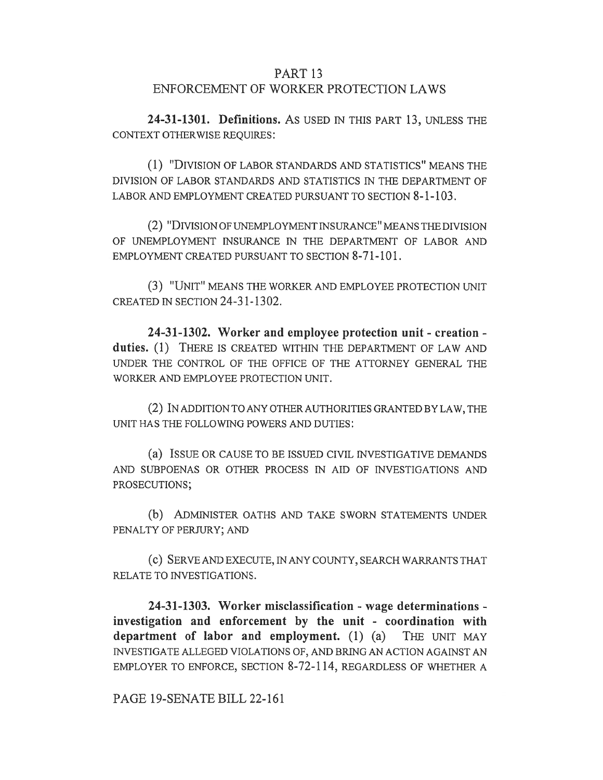### PART 13 ENFORCEMENT OF WORKER PROTECTION LAWS

24-31-1301. Definitions. AS USED IN THIS PART 13, UNLESS THE CONTEXT OTHERWISE REQUIRES:

(1) "DIVISION OF LABOR STANDARDS AND STATISTICS" MEANS THE DIVISION OF LABOR STANDARDS AND STATISTICS IN THE DEPARTMENT OF LABOR AND EMPLOYMENT CREATED PURSUANT TO SECTION 8-1-103.

(2) "DIVISION OF UNEMPLOYMENT INSURANCE" MEANS THE DIVISION OF UNEMPLOYMENT INSURANCE IN THE DEPARTMENT OF LABOR AND EMPLOYMENT CREATED PURSUANT TO SECTION 8-71-101.

(3) "UNIT" MEANS THE WORKER AND EMPLOYEE PROTECTION UNIT CREATED IN SECTION 24-31-1302.

24-31-1302. Worker and employee protection unit - creation duties. (1) THERE IS CREATED WITHIN THE DEPARTMENT OF LAW AND UNDER THE CONTROL OF THE OFFICE OF THE ATTORNEY GENERAL THE WORKER AND EMPLOYEE PROTECTION UNIT.

(2) IN ADDITION TO ANY OTHER AUTHORITIES GRANTED BY LAW, THE UNIT HAS THE FOLLOWING POWERS AND DUTIES:

(a) ISSUE OR CAUSE TO BE ISSUED CIVIL INVESTIGATIVE DEMANDS AND SUBPOENAS OR OTHER PROCESS IN AID OF INVESTIGATIONS AND PROSECUTIONS;

(b) ADMINISTER OATHS AND TAKE SWORN STATEMENTS UNDER PENALTY OF PERJURY; AND

(c) SERVE AND EXECUTE, IN ANY COUNTY, SEARCH WARRANTS THAT RELATE TO INVESTIGATIONS.

24-31-1303. Worker misclassification - wage determinations investigation and enforcement by the unit - coordination with department of labor and employment. (1) (a) THE UNIT MAY INVESTIGATE ALLEGED VIOLATIONS OF, AND BRING AN ACTION AGAINST AN EMPLOYER TO ENFORCE, SECTION 8-72-114, REGARDLESS OF WHETHER A

PAGE 19-SENATE BILL 22-161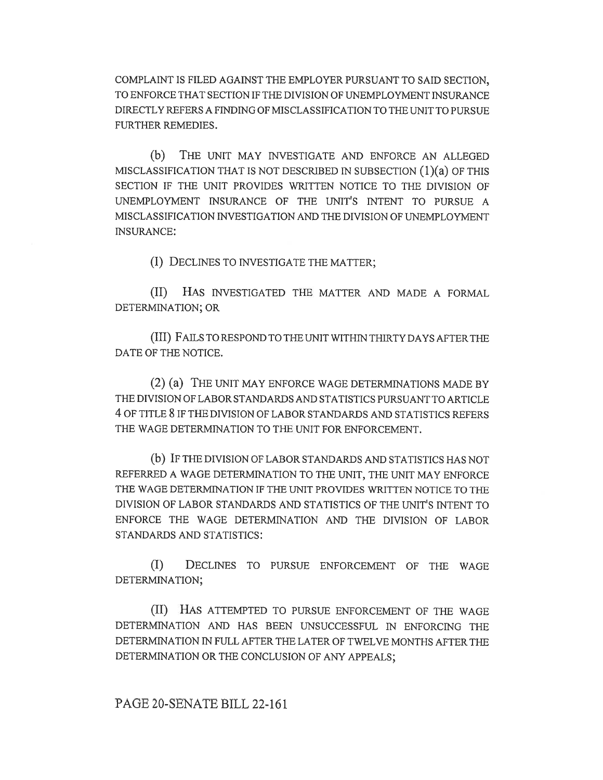COMPLAINT IS FILED AGAINST THE EMPLOYER PURSUANT TO SAID SECTION, TO ENFORCE THAT SECTION IF THE DIVISION OF UNEMPLOYMENT INSURANCE DIRECTLY REFERS A FINDING OF MISCLASSIFICATION TO THE UNIT TO PURSUE FURTHER REMEDIES.

(b) THE UNIT MAY INVESTIGATE AND ENFORCE AN ALLEGED MISCLASSIFICATION THAT IS NOT DESCRIBED IN SUBSECTION (1)(a) OF THIS SECTION IF THE UNIT PROVIDES WRITTEN NOTICE TO THE DIVISION OF UNEMPLOYMENT INSURANCE OF THE UNIT'S INTENT TO PURSUE A MISCLASSIFICATION INVESTIGATION AND THE DIVISION OF UNEMPLOYMENT INSURANCE:

(I) DECLINES TO INVESTIGATE THE MATTER;

(II) HAS INVESTIGATED THE MATTER AND MADE A FORMAL DETERMINATION; OR

(III) FAILS TO RESPOND TO THE UNIT WITHIN THIRTY DAYS AFTER THE DATE OF THE NOTICE.

(2) (a) THE UNIT MAY ENFORCE WAGE DETERMINATIONS MADE BY THE DIVISION OF LABOR STANDARDS AND STATISTICS PURSUANT TO ARTICLE 4 OF TITLE 8 IF THE DIVISION OF LABOR STANDARDS AND STATISTICS REFERS THE WAGE DETERMINATION TO THE UNIT FOR ENFORCEMENT.

(b) IF THE DIVISION OF LABOR STANDARDS AND STATISTICS HAS NOT REFERRED A WAGE DETERMINATION TO THE UNIT, THE UNIT MAY ENFORCE THE WAGE DETERMINATION IF THE UNIT PROVIDES WRITTEN NOTICE TO THE DIVISION OF LABOR STANDARDS AND STATISTICS OF THE UNIT'S INTENT TO ENFORCE THE WAGE DETERMINATION AND THE DIVISION OF LABOR STANDARDS AND STATISTICS:

(I) DECLINES TO PURSUE ENFORCEMENT OF THE WAGE DETERMINATION;

(II) HAS ATTEMPTED TO PURSUE ENFORCEMENT OF THE WAGE DETERMINATION AND HAS BEEN UNSUCCESSFUL IN ENFORCING THE DETERMINATION IN FULL AFTER THE LATER OF TWELVE MONTHS AFTER THE DETERMINATION OR THE CONCLUSION OF ANY APPEALS;

### PAGE 20-SENATE BILL 22-161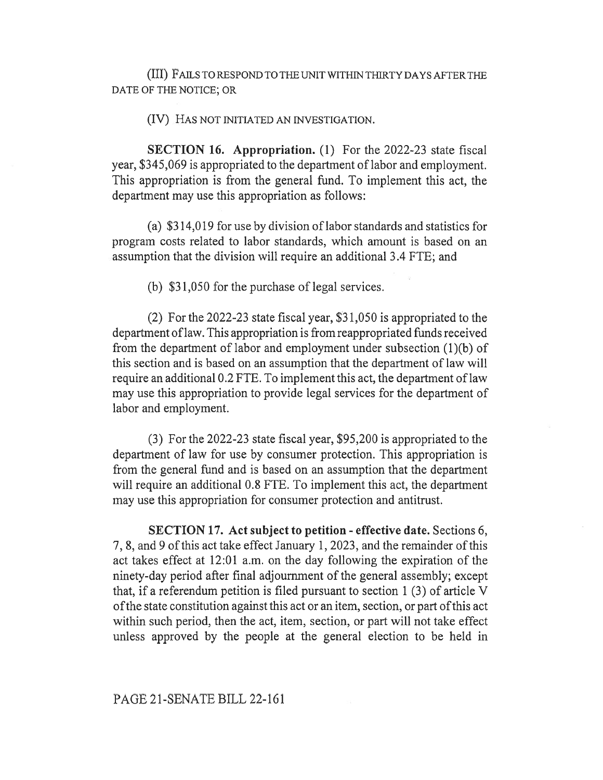(III) FAILS TO RESPOND TO THE UNIT WITHIN THIRTY DAYS AFTER THE DATE OF THE NOTICE; OR

(IV) HAS NOT INITIATED AN INVESTIGATION.

SECTION 16. Appropriation. (1) For the 2022-23 state fiscal year, \$345,069 is appropriated to the department of labor and employment. This appropriation is from the general fund. To implement this act, the department may use this appropriation as follows:

(a) \$314,019 for use by division of labor standards and statistics for program costs related to labor standards, which amount is based on an assumption that the division will require an additional 3.4 FTE; and

(b) \$31,050 for the purchase of legal services.

(2) For the 2022-23 state fiscal year, \$31,050 is appropriated to the department of law. This appropriation is from reappropriated funds received from the department of labor and employment under subsection (1)(b) of this section and is based on an assumption that the department of law will require an additional 0.2 FTE. To implement this act, the department of law may use this appropriation to provide legal services for the department of labor and employment.

(3) For the 2022-23 state fiscal year, \$95,200 is appropriated to the department of law for use by consumer protection. This appropriation is from the general fund and is based on an assumption that the department will require an additional 0.8 FTE. To implement this act, the department may use this appropriation for consumer protection and antitrust.

SECTION 17. Act subject to petition - effective date. Sections 6, 7, 8, and 9 of this act take effect January 1, 2023, and the remainder of this act takes effect at 12:01 a.m. on the day following the expiration of the ninety-day period after final adjournment of the general assembly; except that, if a referendum petition is filed pursuant to section 1 (3) of article V of the state constitution against this act or an item, section, or part of this act within such period, then the act, item, section, or part will not take effect unless approved by the people at the general election to be held in